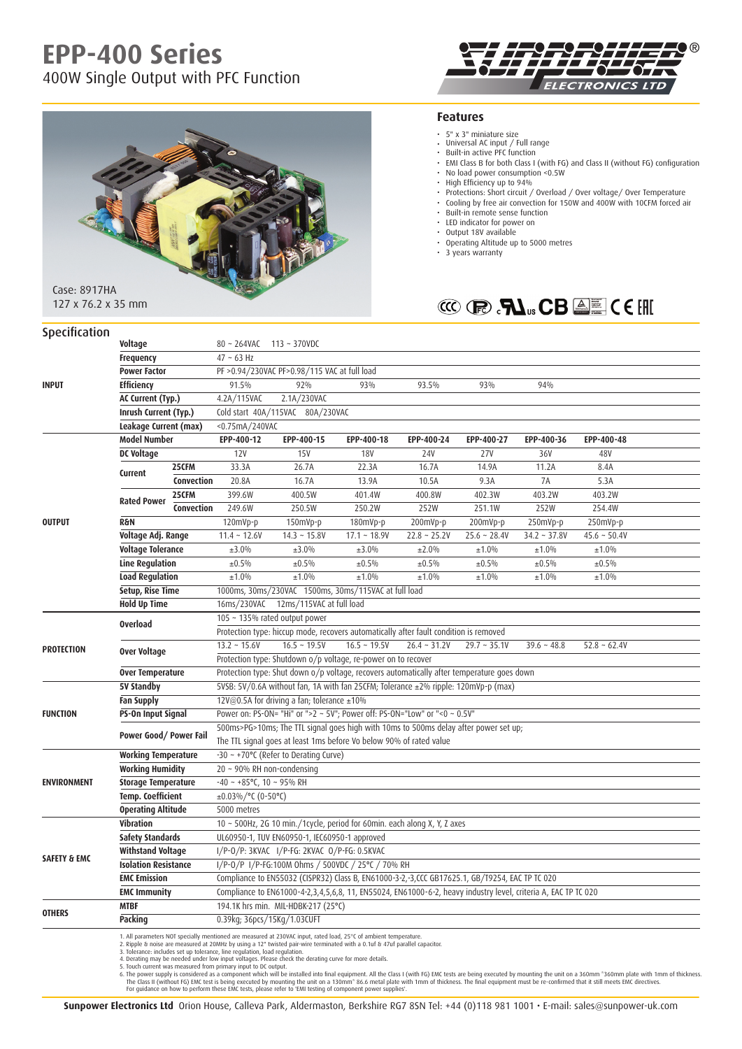# **EPP-400 Series**

400W Single Output with PFC Function





## **Features**

- 
- 5" x 3" miniature size Universal AC input / Full range
- Built-in active PFC function
- EMI Class B for both Class I (with FG) and Class II (without FG) configuration
- No load power consumption <0.5W
- High Efficiency up to 94%
- Protections: Short circuit / Overload / Over voltage/ Over Temperature
- Cooling by free air convection for 150W and 400W with 10CFM forced air
- Built-in remote sense function • LED indicator for power on
- • Output 18V available
- Operating Altitude up to 5000 metres
- 3 years warranty



127 x 76.2 x 35 mm

| Specification           |                             |                                                                                      |                                                                                                                |                                                                                                                                                                                                                                   |                   |                   |                |                |                   |  |
|-------------------------|-----------------------------|--------------------------------------------------------------------------------------|----------------------------------------------------------------------------------------------------------------|-----------------------------------------------------------------------------------------------------------------------------------------------------------------------------------------------------------------------------------|-------------------|-------------------|----------------|----------------|-------------------|--|
| Voltage                 |                             |                                                                                      | 80 ~ 264VAC 113 ~ 370VDC                                                                                       |                                                                                                                                                                                                                                   |                   |                   |                |                |                   |  |
|                         | <b>Frequency</b>            |                                                                                      | $47 - 63$ Hz                                                                                                   |                                                                                                                                                                                                                                   |                   |                   |                |                |                   |  |
|                         | <b>Power Factor</b>         |                                                                                      | PF > 0.94/230VAC PF > 0.98/115 VAC at full load                                                                |                                                                                                                                                                                                                                   |                   |                   |                |                |                   |  |
| <b>INPUT</b>            | <b>Efficiency</b>           |                                                                                      | 91.5%                                                                                                          | 92%                                                                                                                                                                                                                               | 93%               | 93.5%             | 93%            | 94%            |                   |  |
|                         | AC Current (Typ.)           |                                                                                      | 4.2A/115VAC                                                                                                    | 2.1A/230VAC                                                                                                                                                                                                                       |                   |                   |                |                |                   |  |
|                         | Inrush Current (Typ.)       |                                                                                      | Cold start 40A/115VAC 80A/230VAC                                                                               |                                                                                                                                                                                                                                   |                   |                   |                |                |                   |  |
|                         | Leakage Current (max)       |                                                                                      | <0.75mA/240VAC                                                                                                 |                                                                                                                                                                                                                                   |                   |                   |                |                |                   |  |
| <b>Model Number</b>     |                             |                                                                                      | EPP-400-12                                                                                                     | EPP-400-15                                                                                                                                                                                                                        | EPP-400-18        | EPP-400-24        | EPP-400-27     | EPP-400-36     | EPP-400-48        |  |
|                         | <b>DC Voltage</b>           |                                                                                      | 12V                                                                                                            | <b>15V</b>                                                                                                                                                                                                                        | <b>18V</b>        | <b>24V</b>        | <b>27V</b>     | 36V            | 48V               |  |
|                         | Current                     | 25CFM                                                                                | 33.3A                                                                                                          | 26.7A                                                                                                                                                                                                                             | 22.3A             | 16.7A             | 14.9A          | 11.2A          | 8.4A              |  |
|                         |                             | Convection                                                                           | 20.8A                                                                                                          | 16.7A                                                                                                                                                                                                                             | 13.9A             | 10.5A             | 9.3A           | 7A             | 5.3A              |  |
|                         | <b>Rated Power</b>          | 25CFM                                                                                | 399.6W                                                                                                         | 400.5W                                                                                                                                                                                                                            | 401.4W            | 400.8W            | 402.3W         | 403.2W         | 403.2W            |  |
|                         |                             | <b>Convection</b>                                                                    | 249.6W                                                                                                         | 250.5W                                                                                                                                                                                                                            | 250.2W            | 252W              | 251.1W         | 252W           | 254.4W            |  |
| <b>OUTPUT</b>           | <b>R&amp;N</b>              |                                                                                      | 120mVp-p                                                                                                       | 150mVp-p                                                                                                                                                                                                                          | 180mVp-p          | 200mVp-p          | 200mVp-p       | 250mVp-p       | 250mVp-p          |  |
|                         | Voltage Adj. Range          |                                                                                      | $11.4 - 12.6V$                                                                                                 | $14.3 - 15.8V$                                                                                                                                                                                                                    | $17.1 - 18.9V$    | $22.8 \sim 25.2V$ | $25.6 - 28.4V$ | $34.2 - 37.8V$ | $45.6 - 50.4V$    |  |
|                         | Voltage Tolerance           |                                                                                      | ±3.0%                                                                                                          | ±3.0%                                                                                                                                                                                                                             | ±3.0%             | ±2.0%             | ±1.0%          | ±1.0%          | ±1.0%             |  |
|                         | <b>Line Regulation</b>      |                                                                                      | ±0.5%                                                                                                          | ±0.5%                                                                                                                                                                                                                             | ±0.5%             | ±0.5%             | ±0.5%          | ±0.5%          | ±0.5%             |  |
|                         | <b>Load Regulation</b>      |                                                                                      | ±1.0%                                                                                                          | ±1.0%                                                                                                                                                                                                                             | ±1.0%             | ±1.0%             | ±1.0%          | ±1.0%          | ±1.0%             |  |
|                         | Setup, Rise Time            |                                                                                      |                                                                                                                | 1000ms, 30ms/230VAC 1500ms, 30ms/115VAC at full load                                                                                                                                                                              |                   |                   |                |                |                   |  |
|                         | <b>Hold Up Time</b>         |                                                                                      |                                                                                                                | 16ms/230VAC 12ms/115VAC at full load                                                                                                                                                                                              |                   |                   |                |                |                   |  |
|                         | <b>Overload</b>             |                                                                                      | 105 ~ 135% rated output power                                                                                  |                                                                                                                                                                                                                                   |                   |                   |                |                |                   |  |
|                         |                             |                                                                                      | Protection type: hiccup mode, recovers automatically after fault condition is removed                          |                                                                                                                                                                                                                                   |                   |                   |                |                |                   |  |
| <b>PROTECTION</b>       | Over Voltage                |                                                                                      | $13.2 \sim 15.6V$                                                                                              | $16.5 \sim 19.5V$                                                                                                                                                                                                                 | $16.5 \sim 19.5V$ | $26.4 - 31.2V$    | $29.7 - 35.1V$ | $39.6 - 48.8$  | $52.8 \sim 62.4V$ |  |
|                         |                             |                                                                                      |                                                                                                                | Protection type: Shutdown o/p voltage, re-power on to recover                                                                                                                                                                     |                   |                   |                |                |                   |  |
|                         | <b>Over Temperature</b>     |                                                                                      | Protection type: Shut down o/p voltage, recovers automatically after temperature goes down                     |                                                                                                                                                                                                                                   |                   |                   |                |                |                   |  |
|                         | 5V Standby                  |                                                                                      |                                                                                                                | 5VSB: 5V/0.6A without fan, 1A with fan 25CFM; Tolerance ±2% ripple: 120mVp-p (max)                                                                                                                                                |                   |                   |                |                |                   |  |
|                         | <b>Fan Supply</b>           |                                                                                      | 12V@0.5A for driving a fan; tolerance ±10%                                                                     |                                                                                                                                                                                                                                   |                   |                   |                |                |                   |  |
| <b>FUNCTION</b>         | PS-On Input Signal          |                                                                                      |                                                                                                                | Power on: PS-ON= "Hi" or ">2 ~ 5V"; Power off: PS-ON="Low" or "<0 ~ 0.5V"                                                                                                                                                         |                   |                   |                |                |                   |  |
|                         | Power Good/Power Fail       | 500ms>PG>10ms; The TTL signal goes high with 10ms to 500ms delay after power set up; |                                                                                                                |                                                                                                                                                                                                                                   |                   |                   |                |                |                   |  |
|                         |                             |                                                                                      | The TTL signal goes at least 1ms before Vo below 90% of rated value                                            |                                                                                                                                                                                                                                   |                   |                   |                |                |                   |  |
|                         | <b>Working Temperature</b>  |                                                                                      |                                                                                                                | $-30 \sim +70$ °C (Refer to Derating Curve)                                                                                                                                                                                       |                   |                   |                |                |                   |  |
|                         | <b>Working Humidity</b>     |                                                                                      | 20 ~ 90% RH non-condensing                                                                                     |                                                                                                                                                                                                                                   |                   |                   |                |                |                   |  |
| <b>ENVIRONMENT</b>      | <b>Storage Temperature</b>  |                                                                                      | $-40 \sim +85^{\circ}$ C, 10 ~ 95% RH                                                                          |                                                                                                                                                                                                                                   |                   |                   |                |                |                   |  |
|                         | <b>Temp. Coefficient</b>    |                                                                                      | ±0.03%/°C (0-50°C)                                                                                             |                                                                                                                                                                                                                                   |                   |                   |                |                |                   |  |
|                         | <b>Operating Altitude</b>   |                                                                                      | 5000 metres                                                                                                    |                                                                                                                                                                                                                                   |                   |                   |                |                |                   |  |
|                         | Vibration                   |                                                                                      | $10 \sim 500$ Hz, 2G 10 min./1cycle, period for 60min. each along X, Y, Z axes                                 |                                                                                                                                                                                                                                   |                   |                   |                |                |                   |  |
|                         | <b>Safety Standards</b>     |                                                                                      | UL60950-1, TUV EN60950-1, IEC60950-1 approved                                                                  |                                                                                                                                                                                                                                   |                   |                   |                |                |                   |  |
| <b>SAFETY &amp; EMC</b> | <b>Withstand Voltage</b>    |                                                                                      | I/P-0/P: 3KVAC I/P-FG: 2KVAC 0/P-FG: 0.5KVAC                                                                   |                                                                                                                                                                                                                                   |                   |                   |                |                |                   |  |
|                         | <b>Isolation Resistance</b> |                                                                                      | I/P-0/P I/P-FG:100M 0hms / 500VDC / 25°C / 70% RH                                                              |                                                                                                                                                                                                                                   |                   |                   |                |                |                   |  |
|                         | <b>EMC Emission</b>         |                                                                                      | Compliance to EN55032 (CISPR32) Class B, EN61000-3-2,-3,CCC GB17625.1, GB/T9254, EAC TP TC 020                 |                                                                                                                                                                                                                                   |                   |                   |                |                |                   |  |
|                         | <b>EMC Immunity</b>         |                                                                                      | Compliance to EN61000-4-2,3,4,5,6,8, 11, EN55024, EN61000-6-2, heavy industry level, criteria A, EAC TP TC 020 |                                                                                                                                                                                                                                   |                   |                   |                |                |                   |  |
| <b>OTHERS</b>           | <b>MTBF</b>                 |                                                                                      | 194.1K hrs min. MIL-HDBK-217 (25°C)                                                                            |                                                                                                                                                                                                                                   |                   |                   |                |                |                   |  |
|                         | Packing                     |                                                                                      | 0.39kg; 36pcs/15Kg/1.03CUFT                                                                                    |                                                                                                                                                                                                                                   |                   |                   |                |                |                   |  |
|                         |                             |                                                                                      | 3. Tolerance: includes set up tolerance, line regulation, load regulation.                                     | 1. All parameters NOT specially mentioned are measured at 230VAC input, rated load, 25°C of ambient temperature.<br>2. Ripple & noise are measured at 20MHz by using a 12" twisted pair-wire terminated with a 0.1uf & 47uf paral |                   |                   |                |                |                   |  |

3. Tolerance: includes set up tolerance, line regulation, load regulation.<br>4. Deration may be needed under low input to DC output.<br>5. Touch current was measured from primary input to DC output.<br>5. Touch current was measure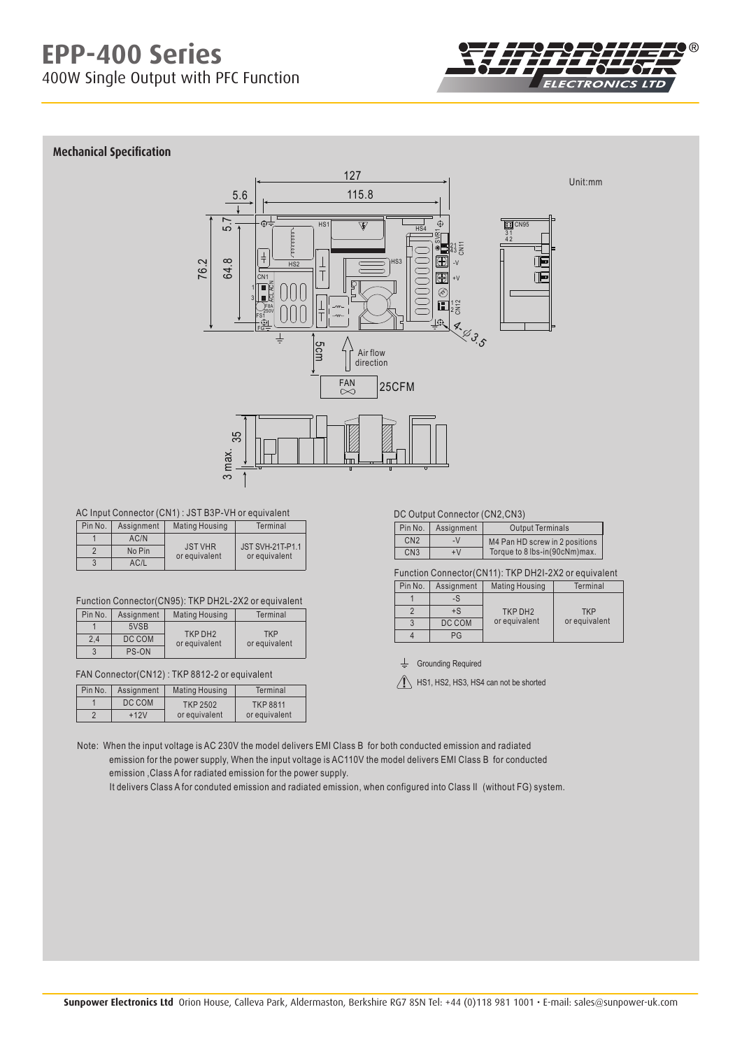

# **Mechanical Specification**



### AC Input Connector (CN1) : JST B3P-VH or equivalent

| Pin No. | Assignment | <b>Mating Housing</b>           | Terminal                                 |
|---------|------------|---------------------------------|------------------------------------------|
|         | AC/N       |                                 |                                          |
|         | No Pin     | <b>JST VHR</b><br>or equivalent | <b>JST SVH-21T-P1.1</b><br>or equivalent |
|         | AC/L       |                                 |                                          |

#### Function Connector(CN95): TKP DH2L-2X2 or equivalent

| Pin No. | Assignment | <b>Mating Housing</b>                | Terminal      |
|---------|------------|--------------------------------------|---------------|
|         | 5VSB       |                                      | <b>TKP</b>    |
| 2.4     | DC COM     | TKP DH <sub>2</sub><br>or equivalent | or equivalent |
| 3       | PS-ON      |                                      |               |

# FAN Connector(CN12) : TKP 8812-2 or equivalent

| Pin No. | Assignment | Mating Housing  | Terminal       |
|---------|------------|-----------------|----------------|
|         | DC COM     | <b>TKP 2502</b> | <b>TKP8811</b> |
| c       | $+12V$     | or equivalent   | or equivalent  |

### DC Output Connector (CN2,CN3)

| Pin No.         | Assignment | <b>Output Terminals</b>        |
|-----------------|------------|--------------------------------|
| CN <sub>2</sub> | $-V$       | M4 Pan HD screw in 2 positions |
| CN <sub>3</sub> | +٧         | Torque to 8 lbs-in(90cNm)max.  |

Function Connector(CN11): TKP DH2I-2X2 or equivalent

| Pin No. | Assignment | <b>Mating Housing</b> | Terminal      |
|---------|------------|-----------------------|---------------|
|         | -S         |                       |               |
|         | $+$ S      | TKP DH <sub>2</sub>   | <b>TKP</b>    |
|         | DC COM     | or equivalent         | or equivalent |
|         | ንር         |                       |               |

 $L$  Grounding Required

 $\sqrt{N}$  HS1, HS2, HS3, HS4 can not be shorted

Note: When the input voltage is AC 230V the model delivers EMI Class B for both conducted emission and radiated emission for the power supply, When the input voltage is AC110V the model delivers EMI Class B for conducted emission ,Class A for radiated emission for the power supply.

It delivers Class A for conduted emission and radiated emission, when configured into Class II (without FG) system.